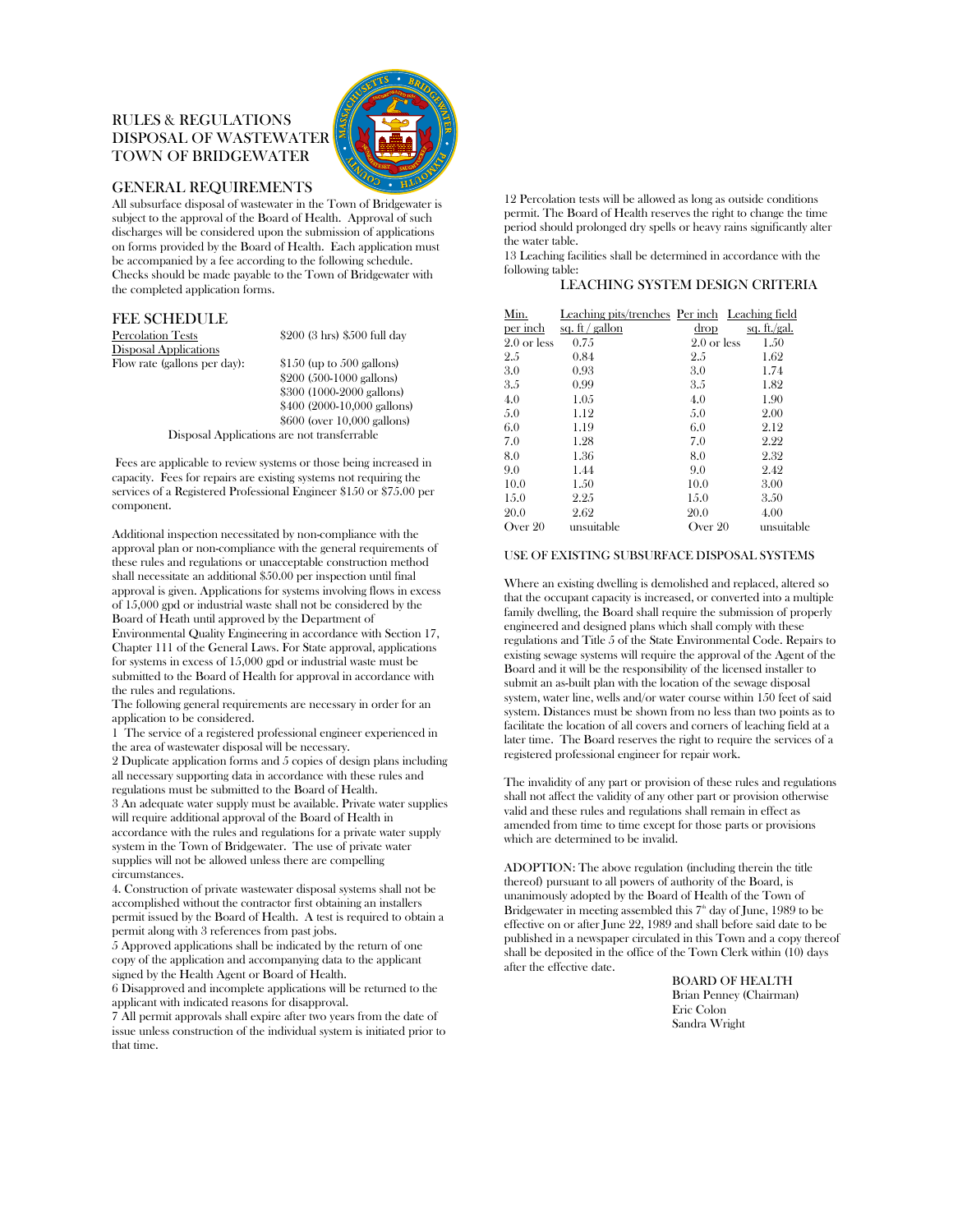# RULES & REGULATIONS DISPOSAL OF WASTEWATER TOWN OF BRIDGEWATER



## GENERAL REQUIREMENTS

All subsurface disposal of wastewater in the Town of Bridgewater is subject to the approval of the Board of Health. Approval of such discharges will be considered upon the submission of applications on forms provided by the Board of Health. Each application must be accompanied by a fee according to the following schedule. Checks should be made payable to the Town of Bridgewater with the completed application forms.

#### FEE SCHEDULE

Percolation Tests \$200 (3 hrs) \$500 full day Disposal Applications

Flow rate (gallons per day): \$150 (up to 500 gallons) \$200 (500-1000 gallons) \$300 (1000-2000 gallons) \$400 (2000-10,000 gallons) \$600 (over 10,000 gallons) Disposal Applications are not transferrable

 Fees are applicable to review systems or those being increased in capacity. Fees for repairs are existing systems not requiring the services of a Registered Professional Engineer \$150 or \$75.00 per component.

Additional inspection necessitated by non-compliance with the approval plan or non-compliance with the general requirements of these rules and regulations or unacceptable construction method shall necessitate an additional \$50.00 per inspection until final approval is given. Applications for systems involving flows in excess of 15,000 gpd or industrial waste shall not be considered by the Board of Heath until approved by the Department of Environmental Quality Engineering in accordance with Section 17, Chapter 111 of the General Laws. For State approval, applications for systems in excess of 15,000 gpd or industrial waste must be submitted to the Board of Health for approval in accordance with the rules and regulations.

The following general requirements are necessary in order for an application to be considered.

1 The service of a registered professional engineer experienced in the area of wastewater disposal will be necessary.

2 Duplicate application forms and 5 copies of design plans including all necessary supporting data in accordance with these rules and regulations must be submitted to the Board of Health.

3 An adequate water supply must be available. Private water supplies will require additional approval of the Board of Health in accordance with the rules and regulations for a private water supply system in the Town of Bridgewater. The use of private water supplies will not be allowed unless there are compelling circumstances.

4. Construction of private wastewater disposal systems shall not be accomplished without the contractor first obtaining an installers permit issued by the Board of Health. A test is required to obtain a permit along with 3 references from past jobs.

5 Approved applications shall be indicated by the return of one copy of the application and accompanying data to the applicant signed by the Health Agent or Board of Health.

6 Disapproved and incomplete applications will be returned to the applicant with indicated reasons for disapproval.

7 All permit approvals shall expire after two years from the date of issue unless construction of the individual system is initiated prior to that time.

12 Percolation tests will be allowed as long as outside conditions permit. The Board of Health reserves the right to change the time period should prolonged dry spells or heavy rains significantly alter the water table.

13 Leaching facilities shall be determined in accordance with the following table:

### LEACHING SYSTEM DESIGN CRITERIA

| Min.                   | Leaching pits/trenches Per inch Leaching field |                        |              |
|------------------------|------------------------------------------------|------------------------|--------------|
| per inch               | sq. $ft$ / gallon                              | drop                   | sq. ft./gal. |
| $2.0 \text{ or }$ less | 0.75                                           | $2.0 \text{ or }$ less | 1.50         |
| 2.5                    | 0.84                                           | 2.5                    | 1.62         |
| 3.0                    | 0.93                                           | 3.0                    | 1.74         |
| 3.5                    | 0.99                                           | 3.5                    | 1.82         |
| 4.0                    | 1.05                                           | 4.0                    | 1.90         |
| 5.0                    | 1.12                                           | 5.0                    | 2.00         |
| 6.0                    | 1.19                                           | 6.0                    | 2.12         |
| 7.0                    | 1.28                                           | 7.0                    | 2.22         |
| 8.0                    | 1.36                                           | 8.0                    | 2.32         |
| 9.0                    | 1.44                                           | 9.0                    | 2.42         |
| 10.0                   | 1.50                                           | 10.0                   | 3.00         |
| 1.5.0                  | 2.25                                           | 15.0                   | 3.50         |
| 20.0                   | 2.62                                           | 20.0                   | 4.00         |
| Over 20                | unsuitable                                     | Over 20                | unsuitable   |

### USE OF EXISTING SUBSURFACE DISPOSAL SYSTEMS

Where an existing dwelling is demolished and replaced, altered so that the occupant capacity is increased, or converted into a multiple family dwelling, the Board shall require the submission of properly engineered and designed plans which shall comply with these regulations and Title 5 of the State Environmental Code. Repairs to existing sewage systems will require the approval of the Agent of the Board and it will be the responsibility of the licensed installer to submit an as-built plan with the location of the sewage disposal system, water line, wells and/or water course within 150 feet of said system. Distances must be shown from no less than two points as to facilitate the location of all covers and corners of leaching field at a later time. The Board reserves the right to require the services of a registered professional engineer for repair work.

The invalidity of any part or provision of these rules and regulations shall not affect the validity of any other part or provision otherwise valid and these rules and regulations shall remain in effect as amended from time to time except for those parts or provisions which are determined to be invalid.

ADOPTION: The above regulation (including therein the title thereof) pursuant to all powers of authority of the Board, is unanimously adopted by the Board of Health of the Town of Bridgewater in meeting assembled this  $7<sup>th</sup>$  day of June, 1989 to be effective on or after June 22, 1989 and shall before said date to be published in a newspaper circulated in this Town and a copy thereof shall be deposited in the office of the Town Clerk within (10) days after the effective date.

> BOARD OF HEALTH Brian Penney (Chairman) Eric Colon Sandra Wright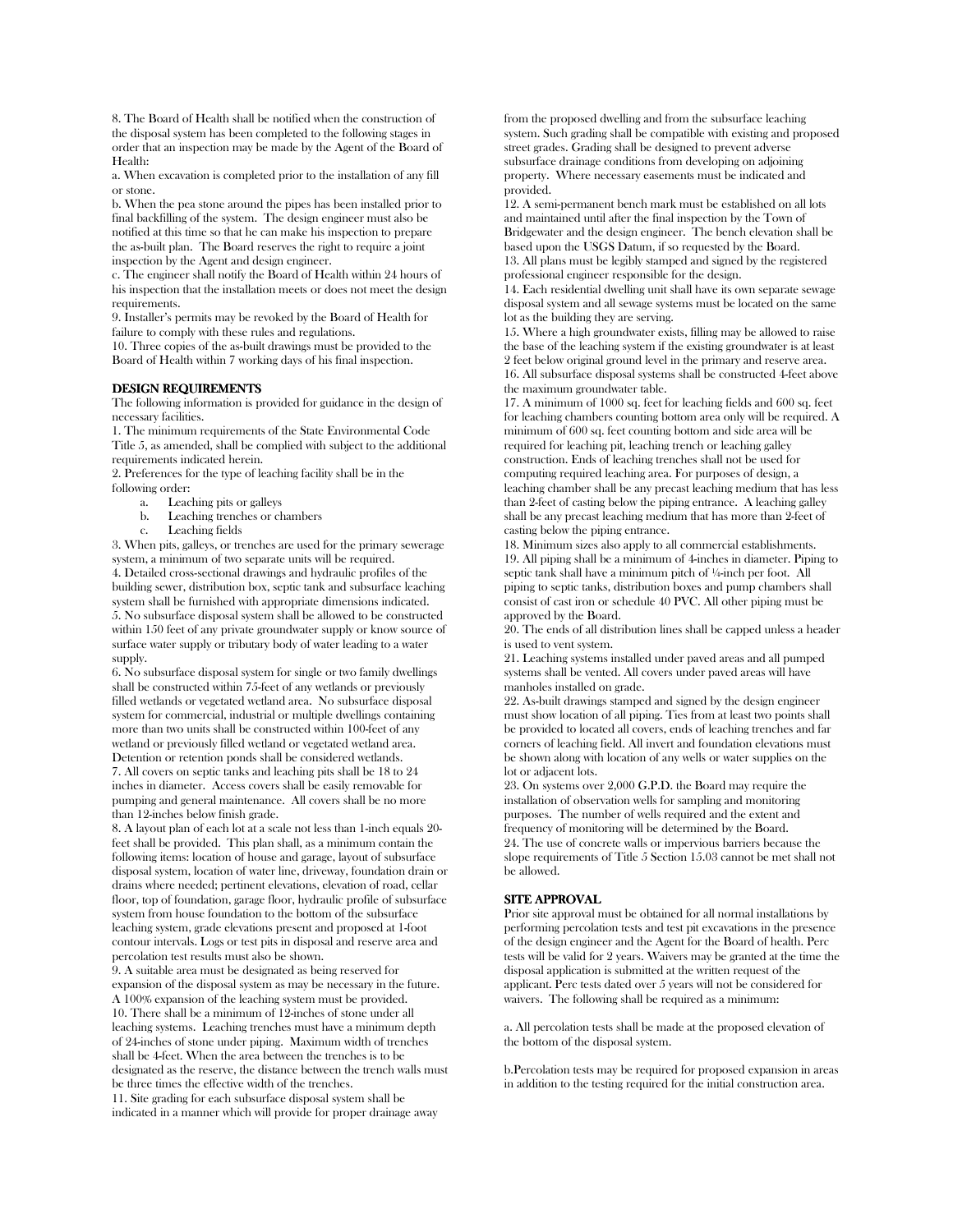8. The Board of Health shall be notified when the construction of the disposal system has been completed to the following stages in order that an inspection may be made by the Agent of the Board of Health:

a. When excavation is completed prior to the installation of any fill or stone.

b. When the pea stone around the pipes has been installed prior to final backfilling of the system. The design engineer must also be notified at this time so that he can make his inspection to prepare the as-built plan. The Board reserves the right to require a joint inspection by the Agent and design engineer.

c. The engineer shall notify the Board of Health within 24 hours of his inspection that the installation meets or does not meet the design requirements.

9. Installer's permits may be revoked by the Board of Health for failure to comply with these rules and regulations.

10. Three copies of the as-built drawings must be provided to the Board of Health within 7 working days of his final inspection.

#### DESIGN REQUIREMENTS

The following information is provided for guidance in the design of necessary facilities.

1. The minimum requirements of the State Environmental Code Title 5, as amended, shall be complied with subject to the additional requirements indicated herein.

2. Preferences for the type of leaching facility shall be in the following order:

- a. Leaching pits or galleys
- b. Leaching trenches or chambers
- c. Leaching fields

3. When pits, galleys, or trenches are used for the primary sewerage system, a minimum of two separate units will be required. 4. Detailed cross-sectional drawings and hydraulic profiles of the building sewer, distribution box, septic tank and subsurface leaching system shall be furnished with appropriate dimensions indicated. 5. No subsurface disposal system shall be allowed to be constructed within 150 feet of any private groundwater supply or know source of surface water supply or tributary body of water leading to a water supply.

6. No subsurface disposal system for single or two family dwellings shall be constructed within 75-feet of any wetlands or previously filled wetlands or vegetated wetland area. No subsurface disposal system for commercial, industrial or multiple dwellings containing more than two units shall be constructed within 100-feet of any wetland or previously filled wetland or vegetated wetland area. Detention or retention ponds shall be considered wetlands. 7. All covers on septic tanks and leaching pits shall be 18 to 24 inches in diameter. Access covers shall be easily removable for pumping and general maintenance. All covers shall be no more than 12-inches below finish grade.

8. A layout plan of each lot at a scale not less than 1-inch equals 20 feet shall be provided. This plan shall, as a minimum contain the following items: location of house and garage, layout of subsurface disposal system, location of water line, driveway, foundation drain or drains where needed; pertinent elevations, elevation of road, cellar floor, top of foundation, garage floor, hydraulic profile of subsurface system from house foundation to the bottom of the subsurface leaching system, grade elevations present and proposed at 1-foot contour intervals. Logs or test pits in disposal and reserve area and percolation test results must also be shown.

9. A suitable area must be designated as being reserved for expansion of the disposal system as may be necessary in the future. A 100% expansion of the leaching system must be provided. 10. There shall be a minimum of 12-inches of stone under all leaching systems. Leaching trenches must have a minimum depth of 24-inches of stone under piping. Maximum width of trenches shall be 4-feet. When the area between the trenches is to be designated as the reserve, the distance between the trench walls must be three times the effective width of the trenches. 11. Site grading for each subsurface disposal system shall be

indicated in a manner which will provide for proper drainage away

from the proposed dwelling and from the subsurface leaching system. Such grading shall be compatible with existing and proposed street grades. Grading shall be designed to prevent adverse subsurface drainage conditions from developing on adjoining property. Where necessary easements must be indicated and provided.

12. A semi-permanent bench mark must be established on all lots and maintained until after the final inspection by the Town of Bridgewater and the design engineer. The bench elevation shall be based upon the USGS Datum, if so requested by the Board. 13. All plans must be legibly stamped and signed by the registered professional engineer responsible for the design.

14. Each residential dwelling unit shall have its own separate sewage disposal system and all sewage systems must be located on the same lot as the building they are serving.

15. Where a high groundwater exists, filling may be allowed to raise the base of the leaching system if the existing groundwater is at least 2 feet below original ground level in the primary and reserve area. 16. All subsurface disposal systems shall be constructed 4-feet above the maximum groundwater table.

17. A minimum of 1000 sq. feet for leaching fields and 600 sq. feet for leaching chambers counting bottom area only will be required. A minimum of 600 sq. feet counting bottom and side area will be required for leaching pit, leaching trench or leaching galley construction. Ends of leaching trenches shall not be used for computing required leaching area. For purposes of design, a leaching chamber shall be any precast leaching medium that has less than 2-feet of casting below the piping entrance. A leaching galley shall be any precast leaching medium that has more than 2-feet of casting below the piping entrance.

18. Minimum sizes also apply to all commercial establishments. 19. All piping shall be a minimum of 4-inches in diameter. Piping to septic tank shall have a minimum pitch of ¼-inch per foot. All piping to septic tanks, distribution boxes and pump chambers shall consist of cast iron or schedule 40 PVC. All other piping must be approved by the Board.

20. The ends of all distribution lines shall be capped unless a header is used to vent system.

21. Leaching systems installed under paved areas and all pumped systems shall be vented. All covers under paved areas will have manholes installed on grade.

22. As-built drawings stamped and signed by the design engineer must show location of all piping. Ties from at least two points shall be provided to located all covers, ends of leaching trenches and far corners of leaching field. All invert and foundation elevations must be shown along with location of any wells or water supplies on the lot or adjacent lots.

23. On systems over 2,000 G.P.D. the Board may require the installation of observation wells for sampling and monitoring purposes. The number of wells required and the extent and frequency of monitoring will be determined by the Board. 24. The use of concrete walls or impervious barriers because the slope requirements of Title 5 Section 15.03 cannot be met shall not be allowed.

### SITE APPROVAL

Prior site approval must be obtained for all normal installations by performing percolation tests and test pit excavations in the presence of the design engineer and the Agent for the Board of health. Perc tests will be valid for 2 years. Waivers may be granted at the time the disposal application is submitted at the written request of the applicant. Perc tests dated over 5 years will not be considered for waivers. The following shall be required as a minimum:

a. All percolation tests shall be made at the proposed elevation of the bottom of the disposal system.

b.Percolation tests may be required for proposed expansion in areas in addition to the testing required for the initial construction area.